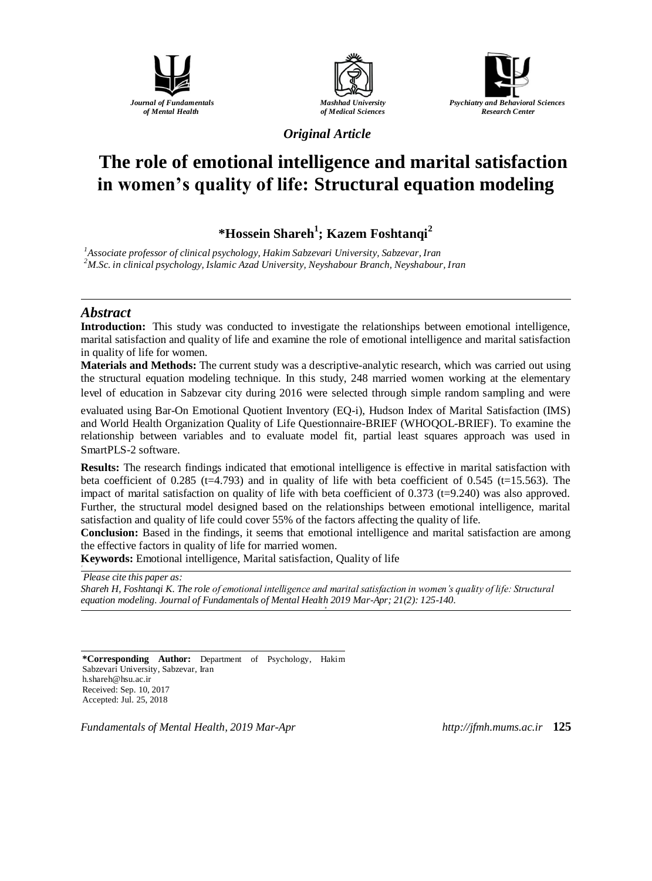





*Original Article*

# **The role of emotional intelligence and marital satisfaction in women's quality of life: Structural equation modeling**

**\*Hossein Shareh<sup>1</sup> ; Kazem Foshtanqi<sup>2</sup>**

*<sup>1</sup>Associate professor of clinical psychology, Hakim Sabzevari University, Sabzevar, Iran <sup>2</sup>M.Sc. in clinical psychology, Islamic Azad University, Neyshabour Branch, Neyshabour, Iran*

#### *Abstract*

**Introduction:** This study was conducted to investigate the relationships between emotional intelligence, marital satisfaction and quality of life and examine the role of emotional intelligence and marital satisfaction in quality of life for women.

**Materials and Methods:** The current study was a descriptive-analytic research, which was carried out using the structural equation modeling technique. In this study, 248 married women working at the elementary level of education in Sabzevar city during 2016 were selected through simple random sampling and were

evaluated using Bar-On Emotional Quotient Inventory (EQ-i), Hudson Index of Marital Satisfaction (IMS) and World Health Organization Quality of Life Questionnaire-BRIEF (WHOQOL-BRIEF). To examine the relationship between variables and to evaluate model fit, partial least squares approach was used in SmartPLS-2 software.

**Results:** The research findings indicated that emotional intelligence is effective in marital satisfaction with beta coefficient of  $0.285$  (t=4.793) and in quality of life with beta coefficient of  $0.545$  (t=15.563). The impact of marital satisfaction on quality of life with beta coefficient of 0.373 (t=9.240) was also approved. Further, the structural model designed based on the relationships between emotional intelligence, marital satisfaction and quality of life could cover 55% of the factors affecting the quality of life.

**Conclusion:** Based in the findings, it seems that emotional intelligence and marital satisfaction are among the effective factors in quality of life for married women.

**Keywords:** Emotional intelligence, Marital satisfaction, Quality of life

*Please cite this paper as: Shareh H, Foshtanqi K. The role of emotional intelligence and marital satisfaction in women's quality of life: Structural equation modeling. Journal of Fundamentals of Mental Health 2019 Mar-Apr; 21(2): 125-140.*

**\*Corresponding Author:** Department of Psychology, Hakim Sabzevari University, Sabzevar, Iran h.shareh@hsu.ac.ir Received: Sep. 10, 2017 Accepted: Jul. 25, 2018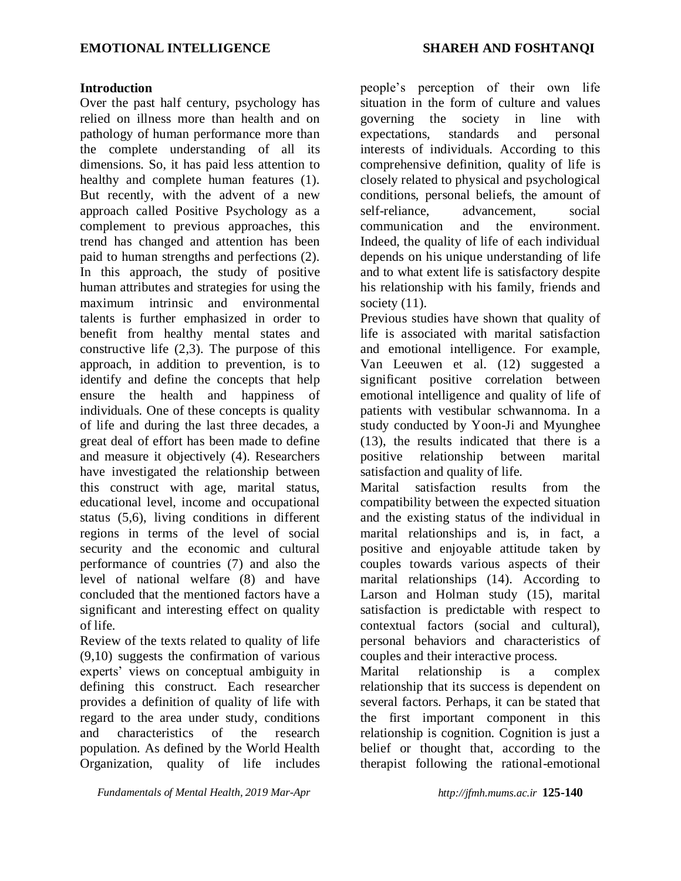#### **Introduction**

Over the past half century, psychology has relied on illness more than health and on pathology of human performance more than the complete understanding of all its dimensions. So, it has paid less attention to healthy and complete human features (1). But recently, with the advent of a new approach called Positive Psychology as a complement to previous approaches, this trend has changed and attention has been paid to human strengths and perfections (2). In this approach, the study of positive human attributes and strategies for using the maximum intrinsic and environmental talents is further emphasized in order to benefit from healthy mental states and constructive life  $(2,3)$ . The purpose of this approach, in addition to prevention, is to identify and define the concepts that help ensure the health and happiness of individuals. One of these concepts is quality of life and during the last three decades, a great deal of effort has been made to define and measure it objectively (4). Researchers have investigated the relationship between this construct with age, marital status, educational level, income and occupational status (5,6), living conditions in different regions in terms of the level of social security and the economic and cultural performance of countries (7) and also the level of national welfare (8) and have concluded that the mentioned factors have a significant and interesting effect on quality of life.

Review of the texts related to quality of life (9,10) suggests the confirmation of various experts' views on conceptual ambiguity in defining this construct. Each researcher provides a definition of quality of life with regard to the area under study, conditions and characteristics of the research population. As defined by the World Health Organization, quality of life includes people's perception of their own life situation in the form of culture and values governing the society in line with expectations, standards and personal interests of individuals. According to this comprehensive definition, quality of life is closely related to physical and psychological conditions, personal beliefs, the amount of self-reliance, advancement, social communication and the environment. Indeed, the quality of life of each individual depends on his unique understanding of life and to what extent life is satisfactory despite his relationship with his family, friends and society  $(11)$ .

Previous studies have shown that quality of life is associated with marital satisfaction and emotional intelligence. For example, Van Leeuwen et al. (12) suggested a significant positive correlation between emotional intelligence and quality of life of patients with vestibular schwannoma. In a study conducted by Yoon-Ji and Myunghee (13), the results indicated that there is a positive relationship between marital satisfaction and quality of life.

Marital satisfaction results from the compatibility between the expected situation and the existing status of the individual in marital relationships and is, in fact, a positive and enjoyable attitude taken by couples towards various aspects of their marital relationships (14). According to Larson and Holman study (15), marital satisfaction is predictable with respect to contextual factors (social and cultural), personal behaviors and characteristics of couples and their interactive process.

Marital relationship is a complex relationship that its success is dependent on several factors. Perhaps, it can be stated that the first important component in this relationship is cognition. Cognition is just a belief or thought that, according to the therapist following the rational-emotional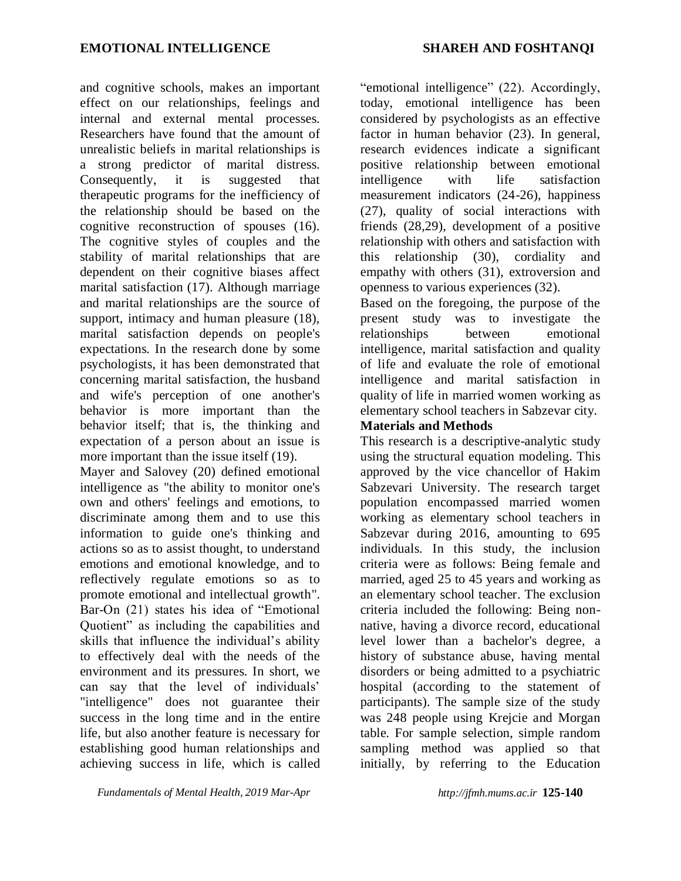and cognitive schools, makes an important effect on our relationships, feelings and internal and external mental processes. Researchers have found that the amount of unrealistic beliefs in marital relationships is a strong predictor of marital distress. Consequently, it is suggested that therapeutic programs for the inefficiency of the relationship should be based on the cognitive reconstruction of spouses (16). The cognitive styles of couples and the stability of marital relationships that are dependent on their cognitive biases affect marital satisfaction (17). Although marriage and marital relationships are the source of support, intimacy and human pleasure  $(18)$ , marital satisfaction depends on people's expectations. In the research done by some psychologists, it has been demonstrated that concerning marital satisfaction, the husband and wife's perception of one another's behavior is more important than the behavior itself; that is, the thinking and expectation of a person about an issue is more important than the issue itself (19).

Mayer and Salovey (20) defined emotional intelligence as "the ability to monitor one's own and others' feelings and emotions, to discriminate among them and to use this information to guide one's thinking and actions so as to assist thought, to understand emotions and emotional knowledge, and to reflectively regulate emotions so as to promote emotional and intellectual growth". Bar-On (21) states his idea of "Emotional Quotient" as including the capabilities and skills that influence the individual's ability to effectively deal with the needs of the environment and its pressures. In short, we can say that the level of individuals' "intelligence" does not guarantee their success in the long time and in the entire life, but also another feature is necessary for establishing good human relationships and achieving success in life, which is called

*Fundamentals of Mental Health, 2019 Mar-Apr http://jfmh.mums.ac.ir* **125-140**

"emotional intelligence" (22). Accordingly, today, emotional intelligence has been considered by psychologists as an effective factor in human behavior (23). In general, research evidences indicate a significant positive relationship between emotional intelligence with life satisfaction measurement indicators (24-26), happiness (27), quality of social interactions with friends (28,29), development of a positive relationship with others and satisfaction with this relationship (30), cordiality and empathy with others (31), extroversion and openness to various experiences (32).

Based on the foregoing, the purpose of the present study was to investigate the relationships between emotional intelligence, marital satisfaction and quality of life and evaluate the role of emotional intelligence and marital satisfaction in quality of life in married women working as elementary school teachers in Sabzevar city.

# **Materials and Methods**

This research is a descriptive-analytic study using the structural equation modeling. This approved by the vice chancellor of Hakim Sabzevari University. The research target population encompassed married women working as elementary school teachers in Sabzevar during 2016, amounting to 695 individuals. In this study, the inclusion criteria were as follows: Being female and married, aged 25 to 45 years and working as an elementary school teacher. The exclusion criteria included the following: Being nonnative, having a divorce record, educational level lower than a bachelor's degree, a history of substance abuse, having mental disorders or being admitted to a psychiatric hospital (according to the statement of participants). The sample size of the study was 248 people using Krejcie and Morgan table. For sample selection, simple random sampling method was applied so that initially, by referring to the Education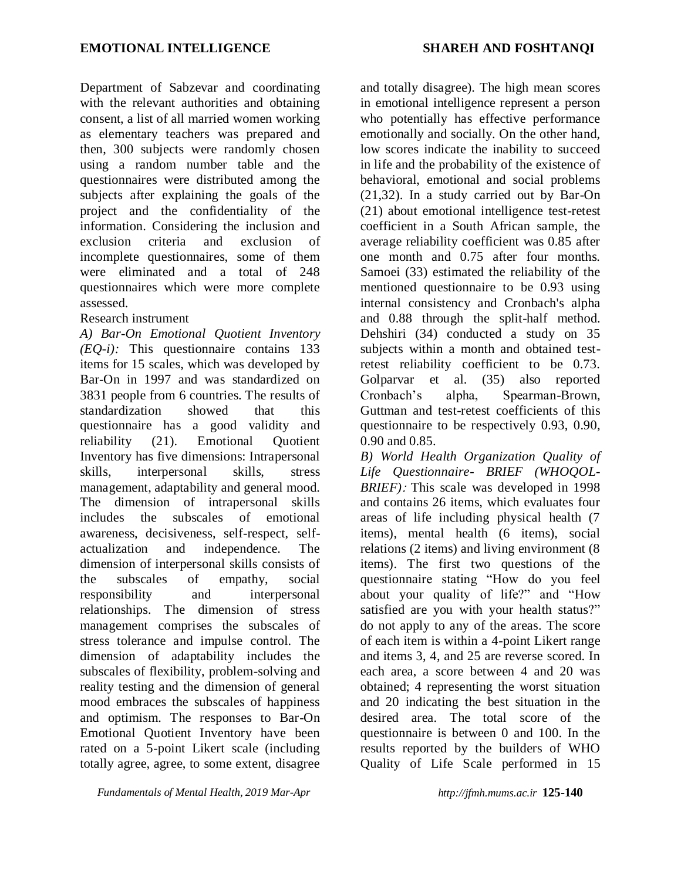Department of Sabzevar and coordinating with the relevant authorities and obtaining consent, a list of all married women working as elementary teachers was prepared and then, 300 subjects were randomly chosen using a random number table and the questionnaires were distributed among the subjects after explaining the goals of the project and the confidentiality of the information. Considering the inclusion and exclusion criteria and exclusion of incomplete questionnaires, some of them were eliminated and a total of 248 questionnaires which were more complete assessed.

# Research instrument

*A) Bar-On Emotional Quotient Inventory (EQ-i):* This questionnaire contains 133 items for 15 scales, which was developed by Bar-On in 1997 and was standardized on 3831 people from 6 countries. The results of standardization showed that this questionnaire has a good validity and reliability (21). Emotional Quotient Inventory has five dimensions: Intrapersonal skills, interpersonal skills, stress management, adaptability and general mood. The dimension of intrapersonal skills includes the subscales of emotional awareness, decisiveness, self-respect, selfactualization and independence. The dimension of interpersonal skills consists of the subscales of empathy, social responsibility and interpersonal relationships. The dimension of stress management comprises the subscales of stress tolerance and impulse control. The dimension of adaptability includes the subscales of flexibility, problem-solving and reality testing and the dimension of general mood embraces the subscales of happiness and optimism. The responses to Bar-On Emotional Quotient Inventory have been rated on a 5-point Likert scale (including totally agree, agree, to some extent, disagree

*Fundamentals of Mental Health, 2019 Mar-Apr http://jfmh.mums.ac.ir* **125-140**

and totally disagree). The high mean scores in emotional intelligence represent a person who potentially has effective performance emotionally and socially. On the other hand, low scores indicate the inability to succeed in life and the probability of the existence of behavioral, emotional and social problems (21,32). In a study carried out by Bar-On (21) about emotional intelligence test-retest coefficient in a South African sample, the average reliability coefficient was 0.85 after one month and 0.75 after four months. Samoei (33) estimated the reliability of the mentioned questionnaire to be 0.93 using internal consistency and Cronbach's alpha and 0.88 through the split-half method. Dehshiri (34) conducted a study on 35 subjects within a month and obtained testretest reliability coefficient to be 0.73. Golparvar et al. (35) also reported Cronbach's alpha, Spearman-Brown, Guttman and test-retest coefficients of this questionnaire to be respectively 0.93, 0.90, 0.90 and 0.85.

*B) World Health Organization Quality of Life Questionnaire- BRIEF (WHOQOL-BRIEF)*: This scale was developed in 1998 and contains 26 items, which evaluates four areas of life including physical health (7 items), mental health (6 items), social relations (2 items) and living environment (8 items). The first two questions of the questionnaire stating "How do you feel about your quality of life?" and "How satisfied are you with your health status?" do not apply to any of the areas. The score of each item is within a 4-point Likert range and items 3, 4, and 25 are reverse scored. In each area, a score between 4 and 20 was obtained; 4 representing the worst situation and 20 indicating the best situation in the desired area. The total score of the questionnaire is between 0 and 100. In the results reported by the builders of WHO Quality of Life Scale performed in 15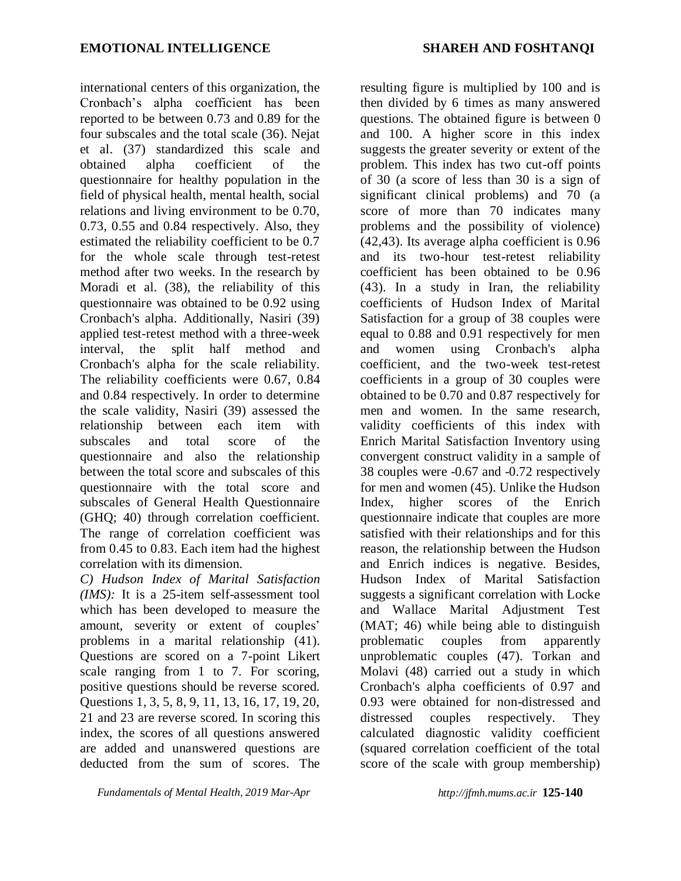international centers of this organization, the Cronbach's alpha coefficient has been reported to be between 0.73 and 0.89 for the four subscales and the total scale (36). Nejat et al. (37) standardized this scale and obtained alpha coefficient of the questionnaire for healthy population in the field of physical health, mental health, social relations and living environment to be 0.70, 0.73, 0.55 and 0.84 respectively. Also, they estimated the reliability coefficient to be 0.7 for the whole scale through test-retest method after two weeks. In the research by Moradi et al. (38), the reliability of this questionnaire was obtained to be 0.92 using Cronbach's alpha. Additionally, Nasiri (39) applied test-retest method with a three-week interval, the split half method and Cronbach's alpha for the scale reliability. The reliability coefficients were 0.67, 0.84 and 0.84 respectively. In order to determine the scale validity, Nasiri (39) assessed the relationship between each item with subscales and total score of the questionnaire and also the relationship between the total score and subscales of this questionnaire with the total score and subscales of General Health Questionnaire (GHQ; 40) through correlation coefficient. The range of correlation coefficient was from 0.45 to 0.83. Each item had the highest correlation with its dimension.

*C) Hudson Index of Marital Satisfaction (IMS):* It is a 25-item self-assessment tool which has been developed to measure the amount, severity or extent of couples' problems in a marital relationship (41). Questions are scored on a 7-point Likert scale ranging from 1 to 7. For scoring, positive questions should be reverse scored. Questions 1, 3, 5, 8, 9, 11, 13, 16, 17, 19, 20, 21 and 23 are reverse scored. In scoring this index, the scores of all questions answered are added and unanswered questions are deducted from the sum of scores. The

*Fundamentals of Mental Health, 2019 Mar-Apr http://jfmh.mums.ac.ir* **125-140**

resulting figure is multiplied by 100 and is then divided by 6 times as many answered questions. The obtained figure is between 0 and 100. A higher score in this index suggests the greater severity or extent of the problem. This index has two cut-off points of 30 (a score of less than 30 is a sign of significant clinical problems) and 70 (a score of more than 70 indicates many problems and the possibility of violence) (42,43). Its average alpha coefficient is 0.96 and its two-hour test-retest reliability coefficient has been obtained to be 0.96 (43). In a study in Iran, the reliability coefficients of Hudson Index of Marital Satisfaction for a group of 38 couples were equal to 0.88 and 0.91 respectively for men and women using Cronbach's alpha coefficient, and the two-week test-retest coefficients in a group of 30 couples were obtained to be 0.70 and 0.87 respectively for men and women. In the same research, validity coefficients of this index with Enrich Marital Satisfaction Inventory using convergent construct validity in a sample of 38 couples were -0.67 and -0.72 respectively for men and women (45). Unlike the Hudson Index, higher scores of the Enrich questionnaire indicate that couples are more satisfied with their relationships and for this reason, the relationship between the Hudson and Enrich indices is negative. Besides, Hudson Index of Marital Satisfaction suggests a significant correlation with Locke and Wallace Marital Adjustment Test (MAT; 46) while being able to distinguish problematic couples from apparently unproblematic couples (47). Torkan and Molavi (48) carried out a study in which Cronbach's alpha coefficients of 0.97 and 0.93 were obtained for non-distressed and distressed couples respectively. They calculated diagnostic validity coefficient (squared correlation coefficient of the total score of the scale with group membership)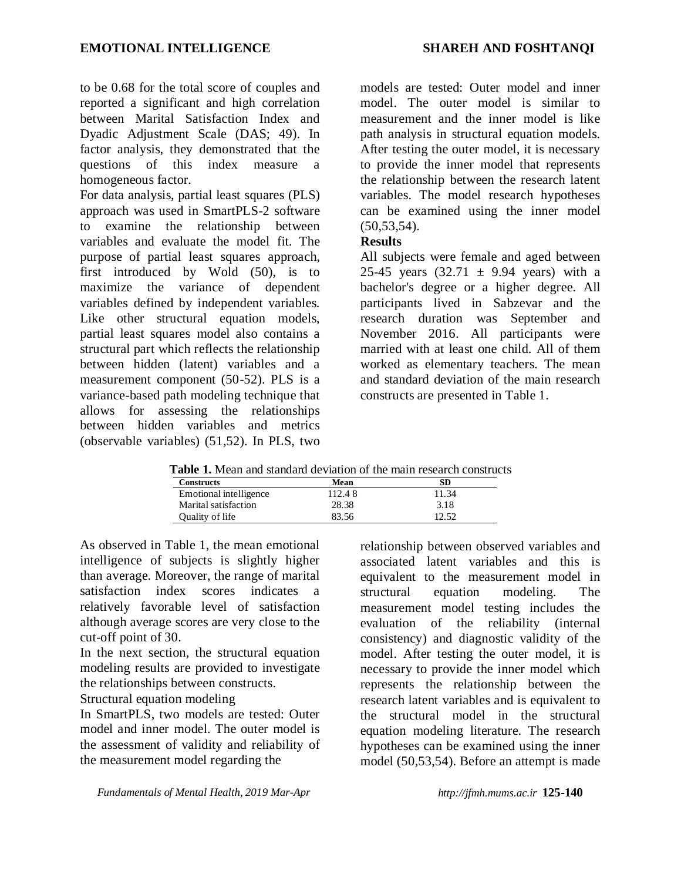to be 0.68 for the total score of couples and reported a significant and high correlation between Marital Satisfaction Index and Dyadic Adjustment Scale (DAS; 49). In factor analysis, they demonstrated that the questions of this index measure a homogeneous factor.

For data analysis, partial least squares (PLS) approach was used in SmartPLS-2 software to examine the relationship between variables and evaluate the model fit. The purpose of partial least squares approach, first introduced by Wold (50), is to maximize the variance of dependent variables defined by independent variables. Like other structural equation models, partial least squares model also contains a structural part which reflects the relationship between hidden (latent) variables and a measurement component (50-52). PLS is a variance-based path modeling technique that allows for assessing the relationships between hidden variables and metrics (observable variables) (51,52). In PLS, two

models are tested: Outer model and inner model. The outer model is similar to measurement and the inner model is like path analysis in structural equation models. After testing the outer model, it is necessary to provide the inner model that represents the relationship between the research latent variables. The model research hypotheses can be examined using the inner model  $(50, 53, 54)$ .

#### **Results**

All subjects were female and aged between 25-45 years  $(32.71 \pm 9.94 \text{ years})$  with a bachelor's degree or a higher degree. All participants lived in Sabzevar and the research duration was September and November 2016. All participants were married with at least one child. All of them worked as elementary teachers. The mean and standard deviation of the main research constructs are presented in Table 1.

| <b>Table 1.</b> Mean and standard deviation of the main research constructs |        |       |
|-----------------------------------------------------------------------------|--------|-------|
| <b>Constructs</b>                                                           | Mean   | SD    |
| Emotional intelligence                                                      | 112.48 | 11.34 |
| Marital satisfaction                                                        | 28.38  | 3.18  |
| Quality of life                                                             | 83.56  | 12.52 |

**Table 1.** Mean and standard deviation of the main research constructs

As observed in Table 1, the mean emotional intelligence of subjects is slightly higher than average. Moreover, the range of marital satisfaction index scores indicates a relatively favorable level of satisfaction although average scores are very close to the cut-off point of 30.

In the next section, the structural equation modeling results are provided to investigate the relationships between constructs.

Structural equation modeling

In SmartPLS, two models are tested: Outer model and inner model. The outer model is the assessment of validity and reliability of the measurement model regarding the

relationship between observed variables and associated latent variables and this is equivalent to the measurement model in structural equation modeling. The measurement model testing includes the evaluation of the reliability (internal consistency) and diagnostic validity of the model. After testing the outer model, it is necessary to provide the inner model which represents the relationship between the research latent variables and is equivalent to the structural model in the structural equation modeling literature. The research hypotheses can be examined using the inner model (50,53,54). Before an attempt is made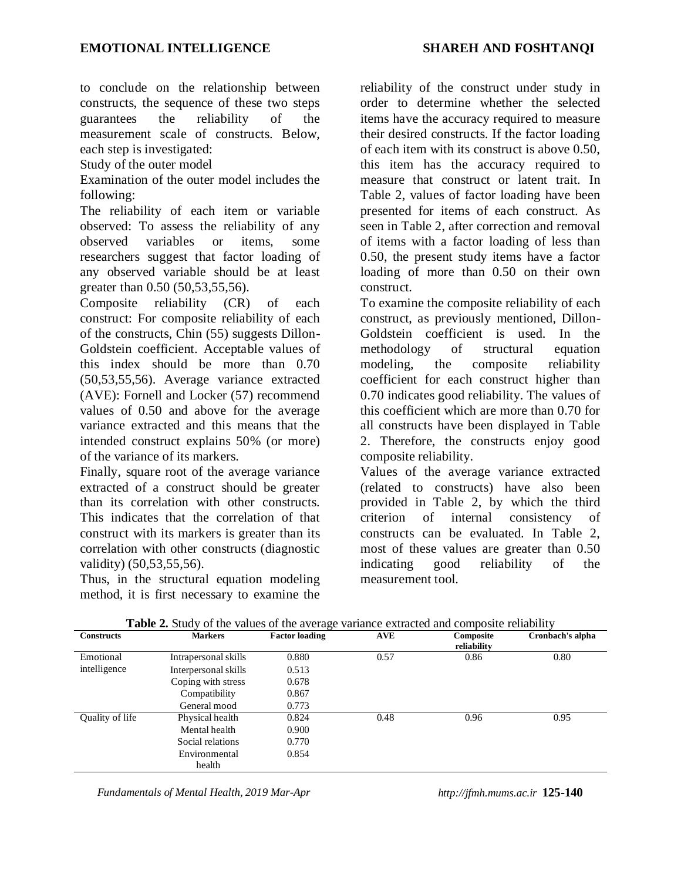to conclude on the relationship between constructs, the sequence of these two steps guarantees the reliability of the measurement scale of constructs. Below, each step is investigated:

Study of the outer model

Examination of the outer model includes the following:

The reliability of each item or variable observed: To assess the reliability of any observed variables or items, some researchers suggest that factor loading of any observed variable should be at least greater than 0.50 (50,53,55,56).

Composite reliability (CR) of each construct: For composite reliability of each of the constructs, Chin (55) suggests Dillon-Goldstein coefficient. Acceptable values of this index should be more than 0.70 (50,53,55,56). Average variance extracted (AVE): Fornell and Locker (57) recommend values of 0.50 and above for the average variance extracted and this means that the intended construct explains 50% (or more) of the variance of its markers.

Finally, square root of the average variance extracted of a construct should be greater than its correlation with other constructs. This indicates that the correlation of that construct with its markers is greater than its correlation with other constructs (diagnostic validity) (50,53,55,56).

Thus, in the structural equation modeling method, it is first necessary to examine the reliability of the construct under study in order to determine whether the selected items have the accuracy required to measure their desired constructs. If the factor loading of each item with its construct is above 0.50, this item has the accuracy required to measure that construct or latent trait. In Table 2, values of factor loading have been presented for items of each construct. As seen in Table 2, after correction and removal of items with a factor loading of less than 0.50, the present study items have a factor loading of more than 0.50 on their own construct.

To examine the composite reliability of each construct, as previously mentioned, Dillon-Goldstein coefficient is used. In the methodology of structural equation modeling, the composite reliability coefficient for each construct higher than 0.70 indicates good reliability. The values of this coefficient which are more than 0.70 for all constructs have been displayed in Table 2. Therefore, the constructs enjoy good composite reliability.

Values of the average variance extracted (related to constructs) have also been provided in Table 2, by which the third criterion of internal consistency of constructs can be evaluated. In Table 2, most of these values are greater than 0.50 indicating good reliability of the measurement tool.

| <b>Constructs</b> | <b>Markers</b>       | <b>Factor loading</b> | <b>AVE</b> | Composite<br>reliability | Cronbach's alpha |
|-------------------|----------------------|-----------------------|------------|--------------------------|------------------|
| Emotional         | Intrapersonal skills | 0.880                 | 0.57       | 0.86                     | 0.80             |
| intelligence      | Interpersonal skills | 0.513                 |            |                          |                  |
|                   | Coping with stress   | 0.678                 |            |                          |                  |
|                   | Compatibility        | 0.867                 |            |                          |                  |
|                   | General mood         | 0.773                 |            |                          |                  |
| Quality of life   | Physical health      | 0.824                 | 0.48       | 0.96                     | 0.95             |
|                   | Mental health        | 0.900                 |            |                          |                  |
|                   | Social relations     | 0.770                 |            |                          |                  |
|                   | Environmental        | 0.854                 |            |                          |                  |
|                   | health               |                       |            |                          |                  |

**Table 2.** Study of the values of the average variance extracted and composite reliability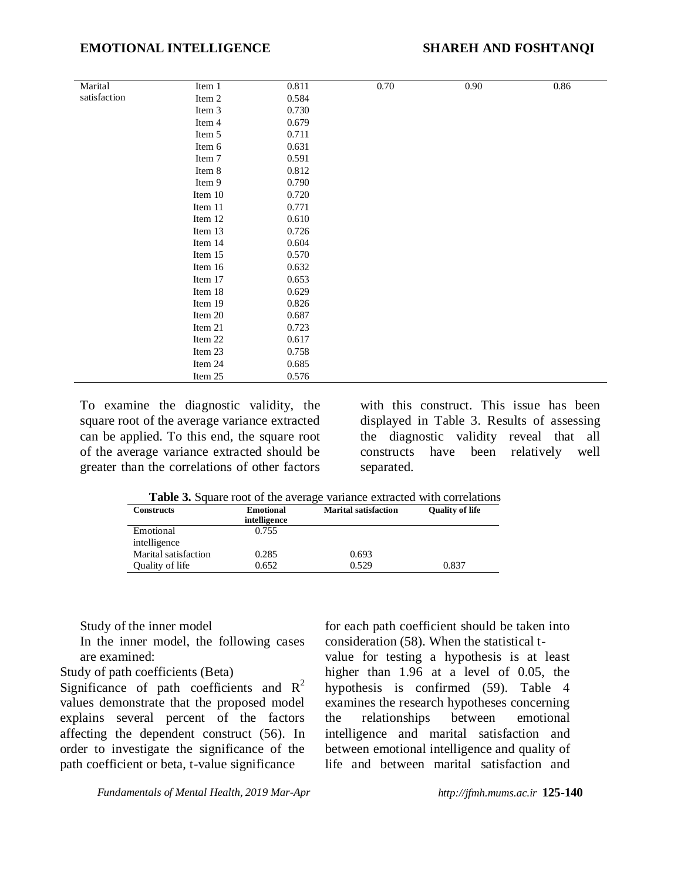| Marital      | Item 1  | 0.811 | 0.70 | $0.90\,$ | $0.86\,$ |
|--------------|---------|-------|------|----------|----------|
| satisfaction | Item 2  | 0.584 |      |          |          |
|              | Item 3  | 0.730 |      |          |          |
|              | Item 4  | 0.679 |      |          |          |
|              | Item 5  | 0.711 |      |          |          |
|              | Item 6  | 0.631 |      |          |          |
|              | Item 7  | 0.591 |      |          |          |
|              | Item 8  | 0.812 |      |          |          |
|              | Item 9  | 0.790 |      |          |          |
|              | Item 10 | 0.720 |      |          |          |
|              | Item 11 | 0.771 |      |          |          |
|              | Item 12 | 0.610 |      |          |          |
|              | Item 13 | 0.726 |      |          |          |
|              | Item 14 | 0.604 |      |          |          |
|              | Item 15 | 0.570 |      |          |          |
|              | Item 16 | 0.632 |      |          |          |
|              | Item 17 | 0.653 |      |          |          |
|              | Item 18 | 0.629 |      |          |          |
|              | Item 19 | 0.826 |      |          |          |
|              | Item 20 | 0.687 |      |          |          |
|              | Item 21 | 0.723 |      |          |          |
|              | Item 22 | 0.617 |      |          |          |
|              | Item 23 | 0.758 |      |          |          |
|              | Item 24 | 0.685 |      |          |          |
|              | Item 25 | 0.576 |      |          |          |
|              |         |       |      |          |          |

To examine the diagnostic validity, the square root of the average variance extracted can be applied. To this end, the square root of the average variance extracted should be greater than the correlations of other factors

with this construct. This issue has been displayed in Table 3. Results of assessing the diagnostic validity reveal that all constructs have been relatively well separated.

**Table 3.** Square root of the average variance extracted with correlations

| <b>Marital satisfaction</b> | <b>Quality of life</b> |  |
|-----------------------------|------------------------|--|
|                             |                        |  |
|                             |                        |  |
| 0.693                       |                        |  |
| 0.529                       | 0.837                  |  |
|                             |                        |  |

Study of the inner model

In the inner model, the following cases are examined:

Study of path coefficients (Beta)

Significance of path coefficients and  $R^2$ values demonstrate that the proposed model explains several percent of the factors affecting the dependent construct (56). In order to investigate the significance of the path coefficient or beta, t-value significance

for each path coefficient should be taken into consideration (58). When the statistical tvalue for testing a hypothesis is at least higher than 1.96 at a level of 0.05, the

hypothesis is confirmed (59). Table 4 examines the research hypotheses concerning the relationships between emotional intelligence and marital satisfaction and between emotional intelligence and quality of life and between marital satisfaction and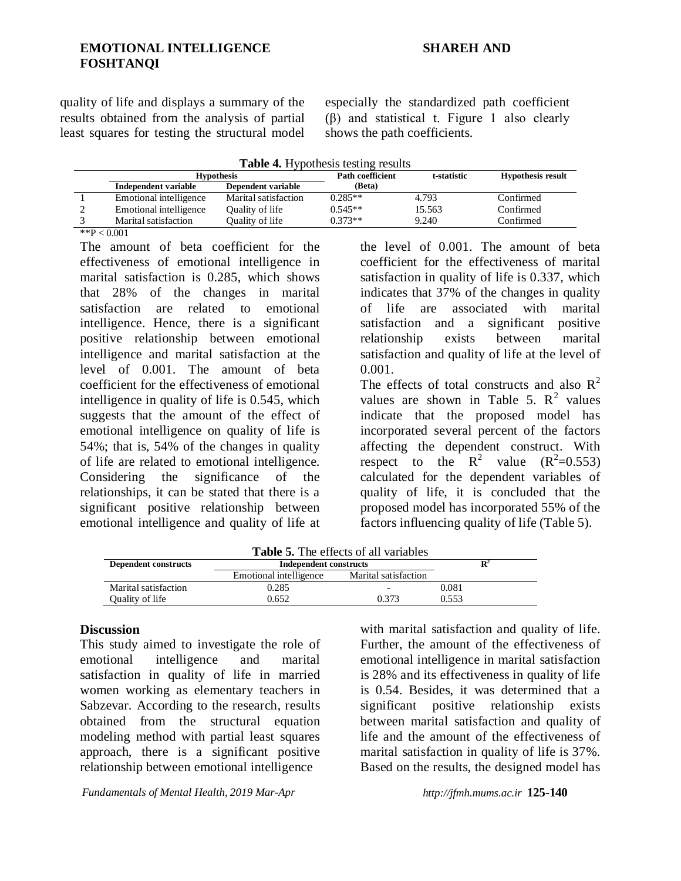quality of life and displays a summary of the results obtained from the analysis of partial least squares for testing the structural model especially the standardized path coefficient (β) and statistical t. Figure 1 also clearly shows the path coefficients.

|  |  |  |  | Table 4. Hypothesis testing results |  |  |
|--|--|--|--|-------------------------------------|--|--|
|--|--|--|--|-------------------------------------|--|--|

|   | <b>Hypothesis</b>      |                      | <b>Path coefficient</b> | t-statistic | <b>Hypothesis result</b> |
|---|------------------------|----------------------|-------------------------|-------------|--------------------------|
|   | Independent variable   | Dependent variable   | (Beta)                  |             |                          |
|   | Emotional intelligence | Marital satisfaction | $0.285**$               | 4.793       | Confirmed                |
| ∸ | Emotional intelligence | Quality of life      | $0.545**$               | 15.563      | Confirmed                |
|   | Marital satisfaction   | Quality of life      | $0.373**$               | 9.240       | Confirmed                |

 $*$  $P < 0.001$ 

The amount of beta coefficient for the effectiveness of emotional intelligence in marital satisfaction is 0.285, which shows that 28% of the changes in marital satisfaction are related to emotional intelligence. Hence, there is a significant positive relationship between emotional intelligence and marital satisfaction at the level of 0.001. The amount of beta coefficient for the effectiveness of emotional intelligence in quality of life is 0.545, which suggests that the amount of the effect of emotional intelligence on quality of life is 54%; that is, 54% of the changes in quality of life are related to emotional intelligence. Considering the significance of the relationships, it can be stated that there is a significant positive relationship between emotional intelligence and quality of life at the level of 0.001. The amount of beta coefficient for the effectiveness of marital satisfaction in quality of life is 0.337, which indicates that 37% of the changes in quality of life are associated with marital satisfaction and a significant positive relationship exists between marital satisfaction and quality of life at the level of 0.001.

The effects of total constructs and also  $R^2$ values are shown in Table 5.  $\mathbb{R}^2$  values indicate that the proposed model has incorporated several percent of the factors affecting the dependent construct. With respect to the  $R^2$  value  $(R^2=0.553)$ calculated for the dependent variables of quality of life, it is concluded that the proposed model has incorporated 55% of the factors influencing quality of life (Table 5).

| <b>Table 5.</b> The effects of all variables |  |
|----------------------------------------------|--|
| Independent constructs                       |  |

| <b>Dependent constructs</b> | Independent constructs |                      | Dʻ    |
|-----------------------------|------------------------|----------------------|-------|
|                             | Emotional intelligence | Marital satisfaction |       |
| Marital satisfaction        | 0.285                  |                      | 0.081 |
| Quality of life             | ).652                  | 0.373                | 0.553 |

#### **Discussion**

This study aimed to investigate the role of emotional intelligence and marital satisfaction in quality of life in married women working as elementary teachers in Sabzevar. According to the research, results obtained from the structural equation modeling method with partial least squares approach, there is a significant positive relationship between emotional intelligence

with marital satisfaction and quality of life. Further, the amount of the effectiveness of emotional intelligence in marital satisfaction is 28% and its effectiveness in quality of life is 0.54. Besides, it was determined that a significant positive relationship exists between marital satisfaction and quality of life and the amount of the effectiveness of marital satisfaction in quality of life is 37%. Based on the results, the designed model has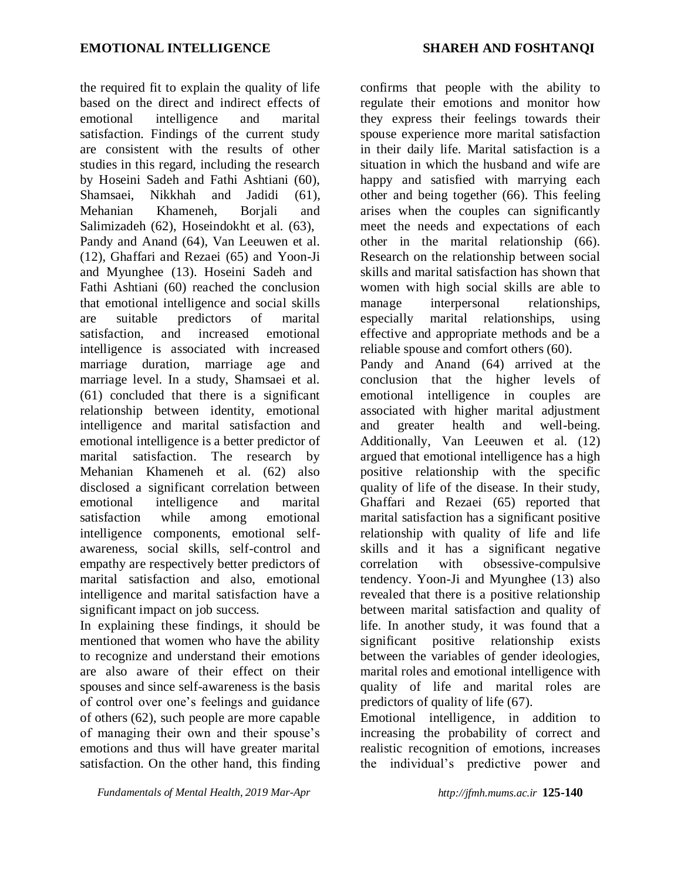the required fit to explain the quality of life based on the direct and indirect effects of emotional intelligence and marital satisfaction. Findings of the current study are consistent with the results of other studies in this regard, including the research by Hoseini Sadeh and Fathi Ashtiani (60), Shamsaei, Nikkhah and Jadidi (61), Mehanian Khameneh, Borjali and Salimizadeh (62), Hoseindokht et al. (63), Pandy and Anand (64), Van Leeuwen et al. (12), Ghaffari and Rezaei (65) and Yoon-Ji and Myunghee (13). Hoseini Sadeh and Fathi Ashtiani (60) reached the conclusion that emotional intelligence and social skills are suitable predictors of marital satisfaction, and increased emotional intelligence is associated with increased marriage duration, marriage age and marriage level. In a study, Shamsaei et al. (61) concluded that there is a significant relationship between identity, emotional intelligence and marital satisfaction and emotional intelligence is a better predictor of marital satisfaction. The research by Mehanian Khameneh et al. (62) also disclosed a significant correlation between emotional intelligence and marital satisfaction while among emotional intelligence components, emotional selfawareness, social skills, self-control and empathy are respectively better predictors of marital satisfaction and also, emotional intelligence and marital satisfaction have a significant impact on job success.

In explaining these findings, it should be mentioned that women who have the ability to recognize and understand their emotions are also aware of their effect on their spouses and since self-awareness is the basis of control over one's feelings and guidance of others (62), such people are more capable of managing their own and their spouse's emotions and thus will have greater marital satisfaction. On the other hand, this finding confirms that people with the ability to regulate their emotions and monitor how they express their feelings towards their spouse experience more marital satisfaction in their daily life. Marital satisfaction is a situation in which the husband and wife are happy and satisfied with marrying each other and being together (66). This feeling arises when the couples can significantly meet the needs and expectations of each other in the marital relationship (66). Research on the relationship between social skills and marital satisfaction has shown that women with high social skills are able to manage interpersonal relationships, especially marital relationships, using effective and appropriate methods and be a reliable spouse and comfort others (60). Pandy and Anand (64) arrived at the conclusion that the higher levels of emotional intelligence in couples are associated with higher marital adjustment and greater health and well-being. Additionally, Van Leeuwen et al. (12) argued that emotional intelligence has a high positive relationship with the specific quality of life of the disease. In their study, Ghaffari and Rezaei (65) reported that marital satisfaction has a significant positive relationship with quality of life and life skills and it has a significant negative correlation with obsessive-compulsive tendency. Yoon-Ji and Myunghee (13) also revealed that there is a positive relationship between marital satisfaction and quality of life. In another study, it was found that a significant positive relationship exists between the variables of gender ideologies, marital roles and emotional intelligence with quality of life and marital roles are predictors of quality of life (67).

Emotional intelligence, in addition to increasing the probability of correct and realistic recognition of emotions, increases the individual's predictive power and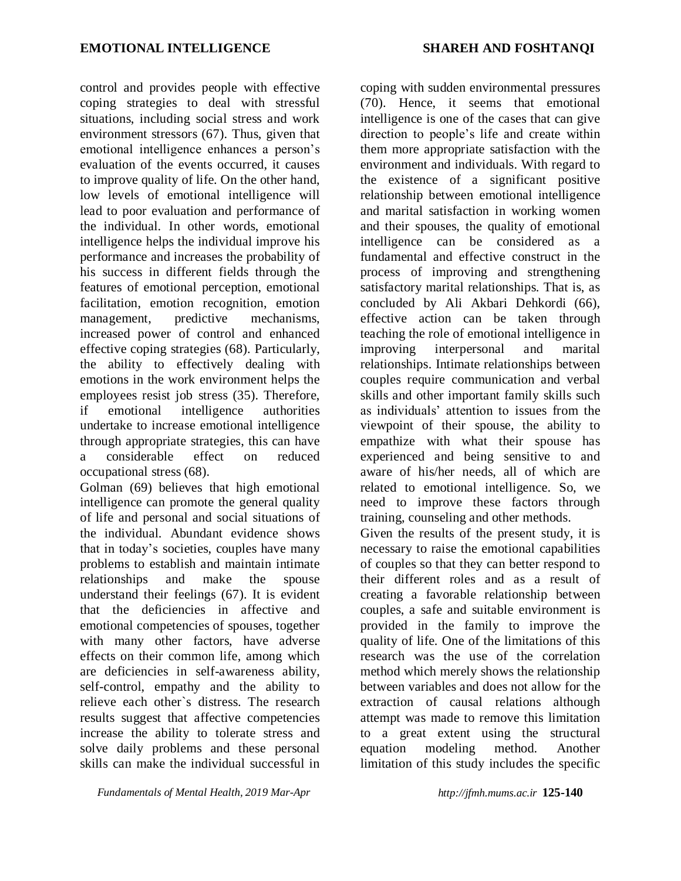control and provides people with effective coping strategies to deal with stressful situations, including social stress and work environment stressors (67). Thus, given that emotional intelligence enhances a person's evaluation of the events occurred, it causes to improve quality of life. On the other hand, low levels of emotional intelligence will lead to poor evaluation and performance of the individual. In other words, emotional intelligence helps the individual improve his performance and increases the probability of his success in different fields through the features of emotional perception, emotional facilitation, emotion recognition, emotion management, predictive mechanisms, increased power of control and enhanced effective coping strategies (68). Particularly, the ability to effectively dealing with emotions in the work environment helps the employees resist job stress (35). Therefore, if emotional intelligence authorities undertake to increase emotional intelligence through appropriate strategies, this can have a considerable effect on reduced occupational stress (68).

Golman (69) believes that high emotional intelligence can promote the general quality of life and personal and social situations of the individual. Abundant evidence shows that in today's societies, couples have many problems to establish and maintain intimate relationships and make the spouse understand their feelings (67). It is evident that the deficiencies in affective and emotional competencies of spouses, together with many other factors, have adverse effects on their common life, among which are deficiencies in self-awareness ability, self-control, empathy and the ability to relieve each other`s distress. The research results suggest that affective competencies increase the ability to tolerate stress and solve daily problems and these personal skills can make the individual successful in

*Fundamentals of Mental Health, 2019 Mar-Apr http://jfmh.mums.ac.ir* **125-140**

coping with sudden environmental pressures (70). Hence, it seems that emotional intelligence is one of the cases that can give direction to people's life and create within them more appropriate satisfaction with the environment and individuals. With regard to the existence of a significant positive relationship between emotional intelligence and marital satisfaction in working women and their spouses, the quality of emotional intelligence can be considered as a fundamental and effective construct in the process of improving and strengthening satisfactory marital relationships. That is, as concluded by Ali Akbari Dehkordi (66), effective action can be taken through teaching the role of emotional intelligence in improving interpersonal and marital relationships. Intimate relationships between couples require communication and verbal skills and other important family skills such as individuals' attention to issues from the viewpoint of their spouse, the ability to empathize with what their spouse has experienced and being sensitive to and aware of his/her needs, all of which are related to emotional intelligence. So, we need to improve these factors through training, counseling and other methods.

Given the results of the present study, it is necessary to raise the emotional capabilities of couples so that they can better respond to their different roles and as a result of creating a favorable relationship between couples, a safe and suitable environment is provided in the family to improve the quality of life. One of the limitations of this research was the use of the correlation method which merely shows the relationship between variables and does not allow for the extraction of causal relations although attempt was made to remove this limitation to a great extent using the structural equation modeling method. Another limitation of this study includes the specific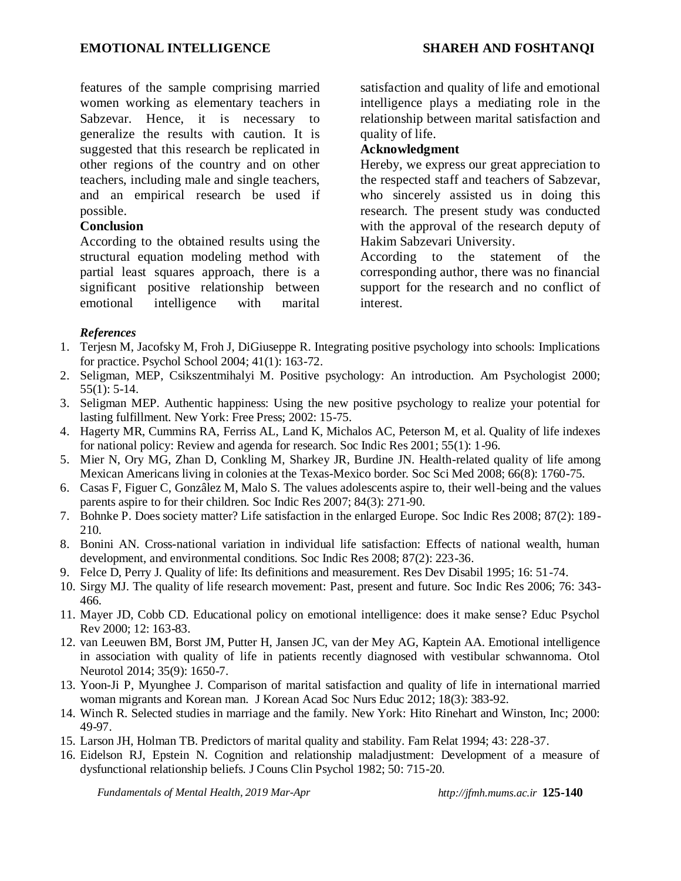features of the sample comprising married women working as elementary teachers in Sabzevar. Hence, it is necessary to generalize the results with caution. It is suggested that this research be replicated in other regions of the country and on other teachers, including male and single teachers, and an empirical research be used if possible.

# **Conclusion**

According to the obtained results using the structural equation modeling method with partial least squares approach, there is a significant positive relationship between emotional intelligence with marital satisfaction and quality of life and emotional intelligence plays a mediating role in the relationship between marital satisfaction and quality of life.

#### **Acknowledgment**

Hereby, we express our great appreciation to the respected staff and teachers of Sabzevar, who sincerely assisted us in doing this research. The present study was conducted with the approval of the research deputy of Hakim Sabzevari University.

According to the statement of the corresponding author, there was no financial support for the research and no conflict of interest.

# *References*

- 1. Terjesn M, Jacofsky M, Froh J, DiGiuseppe R. Integrating positive psychology into schools: Implications for practice. Psychol School 2004; 41(1): 163-72.
- 2. Seligman, MEP, Csikszentmihalyi M. Positive psychology: An introduction. Am Psychologist 2000; 55(1): 5-14.
- 3. Seligman MEP. Authentic happiness: Using the new positive psychology to realize your potential for lasting fulfillment. New York: Free Press; 2002: 15-75.
- 4. Hagerty MR, Cummins RA, Ferriss AL, Land K, Michalos AC, Peterson M, et al. Quality of life indexes for national policy: Review and agenda for research. Soc Indic Res 2001; 55(1): 1-96.
- 5. Mier N, Ory MG, Zhan D, Conkling M, Sharkey JR, Burdine JN. Health-related quality of life among Mexican Americans living in colonies at the Texas-Mexico border. Soc Sci Med 2008; 66(8): 1760-75.
- 6. Casas F, Figuer C, Gonzâlez M, Malo S. The values adolescents aspire to, their well-being and the values parents aspire to for their children. Soc Indic Res 2007; 84(3): 271-90.
- 7. Bohnke P. Does society matter? Life satisfaction in the enlarged Europe. Soc Indic Res 2008; 87(2): 189- 210.
- 8. Bonini AN. Cross-national variation in individual life satisfaction: Effects of national wealth, human development, and environmental conditions. Soc Indic Res 2008; 87(2): 223-36.
- 9. Felce D, Perry J. Quality of life: Its definitions and measurement. Res Dev Disabil 1995; 16: 51-74.
- 10. Sirgy MJ. The quality of life research movement: Past, present and future. Soc Indic Res 2006; 76: 343- 466.
- 11. Mayer JD, Cobb CD. Educational policy on emotional intelligence: does it make sense? Educ Psychol Rev 2000; 12: 163-83.
- 12. van Leeuwen BM, Borst JM, Putter H, Jansen JC, van der Mey AG, Kaptein AA. Emotional intelligence in association with quality of life in patients recently diagnosed with vestibular schwannoma. Otol Neurotol 2014; 35(9): 1650-7.
- 13. Yoon-Ji P, Myunghee J. Comparison of marital satisfaction and quality of life in international married woman migrants and Korean man. J Korean Acad Soc Nurs Educ 2012; 18(3): 383-92.
- 14. Winch R. Selected studies in marriage and the family. New York: Hito Rinehart and Winston, Inc; 2000: 49-97.
- 15. Larson JH, Holman TB. Predictors of marital quality and stability. Fam Relat 1994; 43: 228-37.
- 16. Eidelson RJ, Epstein N. Cognition and relationship maladjustment: Development of a measure of dysfunctional relationship beliefs. J Couns Clin Psychol 1982; 50: 715-20.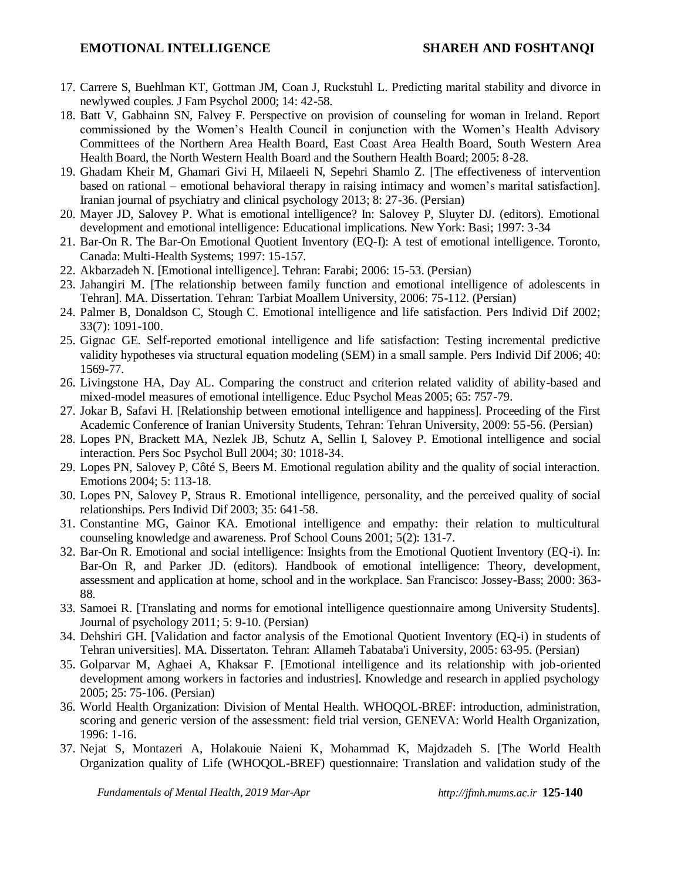- 17. Carrere S, Buehlman KT, Gottman JM, Coan J, Ruckstuhl L. Predicting marital stability and divorce in newlywed couples. J Fam Psychol 2000; 14: 42-58.
- 18. Batt V, Gabhainn SN, Falvey F. Perspective on provision of counseling for woman in Ireland. Report commissioned by the Women's Health Council in conjunction with the Women's Health Advisory Committees of the Northern Area Health Board, East Coast Area Health Board, South Western Area Health Board, the North Western Health Board and the Southern Health Board; 2005: 8-28.
- 19. Ghadam Kheir M, Ghamari Givi H, Milaeeli N, Sepehri Shamlo Z. [The effectiveness of intervention based on rational – emotional behavioral therapy in raising intimacy and women's marital satisfaction]. Iranian journal of psychiatry and clinical psychology 2013; 8: 27-36. (Persian)
- 20. Mayer JD, Salovey P. What is emotional intelligence? In: Salovey P, Sluyter DJ. (editors). Emotional development and emotional intelligence: Educational implications. New York: Basi; 1997: 3-34
- 21. Bar-On R. The Bar-On Emotional Quotient Inventory (EQ-I): A test of emotional intelligence. Toronto, Canada: Multi-Health Systems; 1997: 15-157.
- 22. Akbarzadeh N. [Emotional intelligence]. Tehran: Farabi; 2006: 15-53. (Persian)
- 23. Jahangiri M. [The relationship between family function and emotional intelligence of adolescents in Tehran]. MA. Dissertation. Tehran: Tarbiat Moallem University, 2006: 75-112. (Persian)
- 24. Palmer B, Donaldson C, Stough C. Emotional intelligence and life satisfaction. Pers Individ Dif 2002; 33(7): 1091-100.
- 25. Gignac GE. Self-reported emotional intelligence and life satisfaction: Testing incremental predictive validity hypotheses via structural equation modeling (SEM) in a small sample. Pers Individ Dif 2006; 40: 1569-77.
- 26. Livingstone HA, Day AL. Comparing the construct and criterion related validity of ability-based and mixed-model measures of emotional intelligence. Educ Psychol Meas 2005; 65: 757-79.
- 27. Jokar B, Safavi H. [Relationship between emotional intelligence and happiness]. Proceeding of the First Academic Conference of Iranian University Students, Tehran: Tehran University, 2009: 55-56. (Persian)
- 28. Lopes PN, Brackett MA, Nezlek JB, Schutz A, Sellin I, Salovey P. Emotional intelligence and social interaction. Pers Soc Psychol Bull 2004; 30: 1018-34.
- 29. Lopes PN, Salovey P, Côté S, Beers M. Emotional regulation ability and the quality of social interaction. Emotions 2004; 5: 113-18.
- 30. Lopes PN, Salovey P, Straus R. Emotional intelligence, personality, and the perceived quality of social relationships. Pers Individ Dif 2003; 35: 641-58.
- 31. Constantine MG, Gainor KA. Emotional intelligence and empathy: their relation to multicultural counseling knowledge and awareness. Prof School Couns 2001; 5(2): 131-7.
- 32. Bar-On R. Emotional and social intelligence: Insights from the Emotional Quotient Inventory (EQ-i). In: Bar-On R, and Parker JD. (editors). Handbook of emotional intelligence: Theory, development, assessment and application at home, school and in the workplace. San Francisco: Jossey-Bass; 2000: 363- 88.
- 33. Samoei R. [Translating and norms for emotional intelligence questionnaire among University Students]. Journal of psychology 2011; 5: 9-10. (Persian)
- 34. Dehshiri GH. [Validation and factor analysis of the Emotional Quotient Inventory (EQ-i) in students of Tehran universities]. MA. Dissertaton. Tehran: [Allameh Tabataba'i University,](https://www.google.com/url?sa=t&rct=j&q=&esrc=s&source=web&cd=1&cad=rja&uact=8&ved=0ahUKEwiEsLiipPfKAhXLkSwKHYpEBksQFgghMAA&url=http%3A%2F%2Fatu.ac.ir%2Fen&usg=AFQjCNG0euRW3PH8Uk6uTodHIqVT4V5qZg&sig2=CkbkKdY2WthW4ZMUkL1SNg) 2005: 63-95. (Persian)
- 35. Golparvar M, Aghaei A, Khaksar F. [Emotional intelligence and its relationship with job-oriented development among workers in factories and industries]. Knowledge and research in applied psychology 2005; 25: 75-106. (Persian)
- 36. World Health Organization: Division of Mental Health. WHOQOL-BREF: introduction, administration, scoring and generic version of the assessment: field trial version, GENEVA: World Health Organization, 1996: 1-16.
- 37. Nejat S, Montazeri A, Holakouie Naieni K, Mohammad K, Majdzadeh S. [The World Health Organization quality of Life (WHOQOL-BREF) questionnaire: Translation and validation study of the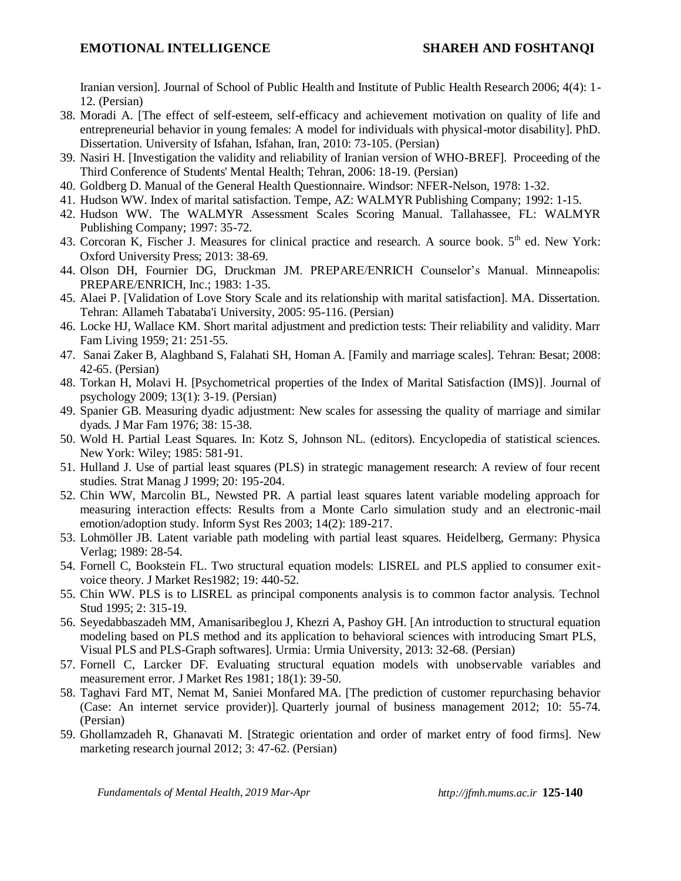Iranian version]. Journal of School of Public Health and Institute of Public Health Research 2006; 4(4): 1- 12. (Persian)

- 38. Moradi A. [The effect of self-esteem, self-efficacy and achievement motivation on quality of life and entrepreneurial behavior in young females: A model for individuals with physical-motor disability]. PhD. Dissertation. University of Isfahan, Isfahan, Iran, 2010: 73-105. (Persian)
- 39. Nasiri H. [Investigation the validity and reliability of Iranian version of WHO-BREF]. Proceeding of the Third Conference of Students' Mental Health; Tehran, 2006: 18-19. (Persian)
- 40. Goldberg D. Manual of the General Health Questionnaire. Windsor: NFER-Nelson, 1978: 1-32.
- 41. Hudson WW. Index of marital satisfaction. Tempe, AZ: WALMYR Publishing Company; 1992: 1-15.
- 42. Hudson WW. The WALMYR Assessment Scales Scoring Manual. Tallahassee, FL: WALMYR Publishing Company; 1997: 35-72.
- 43. Corcoran K, Fischer J. Measures for clinical practice and research. A source book. 5<sup>th</sup> ed. New York: Oxford University Press; 2013: 38-69.
- 44. Olson DH, Fournier DG, Druckman JM. PREPARE/ENRICH Counselor's Manual. Minneapolis: PREPARE/ENRICH, Inc.; 1983: 1-35.
- 45. Alaei P. [Validation of Love Story Scale and its relationship with marital satisfaction]. MA. Dissertation. Tehran: [Allameh Tabataba'i University,](https://www.google.com/url?sa=t&rct=j&q=&esrc=s&source=web&cd=1&cad=rja&uact=8&ved=0ahUKEwiEsLiipPfKAhXLkSwKHYpEBksQFgghMAA&url=http%3A%2F%2Fatu.ac.ir%2Fen&usg=AFQjCNG0euRW3PH8Uk6uTodHIqVT4V5qZg&sig2=CkbkKdY2WthW4ZMUkL1SNg) 2005: 95-116. (Persian)
- 46. Locke HJ, Wallace KM. Short marital adjustment and prediction tests: Their reliability and validity. Marr Fam Living 1959; 21: 251-55.
- 47. Sanai Zaker B, Alaghband S, Falahati SH, Homan A. [Family and marriage scales]. Tehran: Besat; 2008: 42-65. (Persian)
- 48. Torkan H, Molavi H. [Psychometrical properties of the Index of Marital Satisfaction (IMS)]. Journal of psychology 2009; 13(1): 3-19. (Persian)
- 49. Spanier GB. Measuring dyadic adjustment: New scales for assessing the quality of marriage and similar dyads. J Mar Fam 1976; 38: 15-38.
- 50. Wold H. Partial Least Squares. In: Kotz S, Johnson NL. (editors). Encyclopedia of statistical sciences. New York: Wiley; 1985: 581-91.
- 51. Hulland J. Use of partial least squares (PLS) in strategic management research: A review of four recent studies. Strat Manag J 1999; 20: 195-204.
- 52. Chin WW, Marcolin BL, Newsted PR. A partial least squares latent variable modeling approach for measuring interaction effects: Results from a Monte Carlo simulation study and an electronic-mail emotion/adoption study. Inform Syst Res 2003; 14(2): 189-217.
- 53. Lohmöller JB. Latent variable path modeling with partial least squares. Heidelberg, Germany: Physica Verlag; 1989: 28-54.
- 54. Fornell C, Bookstein FL. Two structural equation models: LISREL and PLS applied to consumer exitvoice theory. J Market Res1982; 19: 440-52.
- 55. Chin WW. PLS is to LISREL as principal components analysis is to common factor analysis. Technol Stud 1995; 2: 315-19.
- 56. Seyedabbaszadeh MM, Amanisaribeglou J, Khezri A, Pashoy GH. [An introduction to structural equation modeling based on PLS method and its application to behavioral sciences with introducing Smart PLS, Visual PLS and PLS-Graph softwares]. Urmia: Urmia University, 2013: 32-68. (Persian)
- 57. Fornell C, Larcker DF. Evaluating structural equation models with unobservable variables and measurement error. J Market Res 1981; 18(1): 39-50.
- 58. Taghavi Fard MT, Nemat M, Saniei Monfared MA. [The prediction of customer repurchasing behavior (Case: An internet service provider)]. [Quarterly journal of business management 2012; 10:](http://www.magiran.com/magtoc.asp?mgID=5646&Number=10&Appendix=0&lanf=En) 55-74. (Persian)
- 59. Ghollamzadeh R, Ghanavati M. [Strategic orientation and order of market entry of food firms]. [New](http://www.magiran.com/magtoc.asp?mgID=6200&Number=3&Appendix=0&lanf=En)  [marketing research journal 2012; 3:](http://www.magiran.com/magtoc.asp?mgID=6200&Number=3&Appendix=0&lanf=En) 47-62. (Persian)